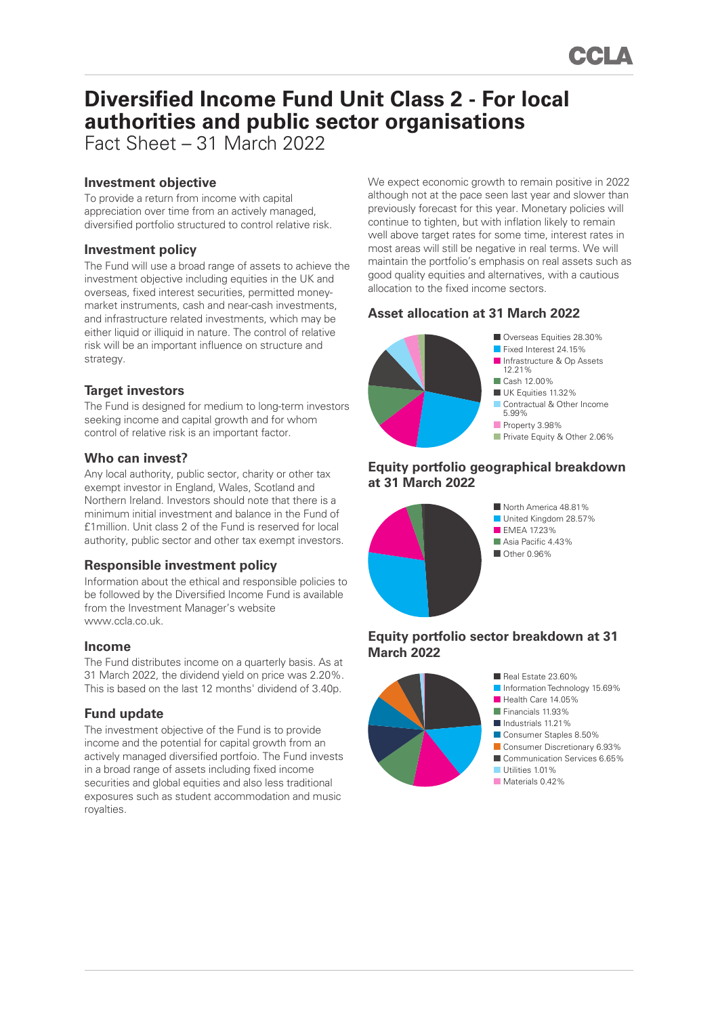# **Diversified Income Fund Unit Class 2 - For local authorities and public sector organisations** Fact Sheet – 31 March 2022

# **Investment objective**

To provide a return from income with capital appreciation over time from an actively managed, diversified portfolio structured to control relative risk.

## **Investment policy**

The Fund will use a broad range of assets to achieve the investment objective including equities in the UK and overseas, fixed interest securities, permitted moneymarket instruments, cash and near-cash investments, and infrastructure related investments, which may be either liquid or illiquid in nature. The control of relative risk will be an important influence on structure and strategy.

# **Target investors**

The Fund is designed for medium to long-term investors seeking income and capital growth and for whom control of relative risk is an important factor.

# **Who can invest?**

Any local authority, public sector, charity or other tax exempt investor in England, Wales, Scotland and Northern Ireland. Investors should note that there is a minimum initial investment and balance in the Fund of £1million. Unit class 2 of the Fund is reserved for local authority, public sector and other tax exempt investors.

# **Responsible investment policy**

Information about the ethical and responsible policies to be followed by the Diversified Income Fund is available from the Investment Manager's website www.ccla.co.uk.

#### **Income**

The Fund distributes income on a quarterly basis. As at 31 March 2022, the dividend yield on price was 2.20%. This is based on the last 12 months' dividend of 3.40p.

# **Fund update**

The investment objective of the Fund is to provide income and the potential for capital growth from an actively managed diversified portfoio. The Fund invests in a broad range of assets including fixed income securities and global equities and also less traditional exposures such as student accommodation and music royalties.

We expect economic growth to remain positive in 2022 although not at the pace seen last year and slower than previously forecast for this year. Monetary policies will continue to tighten, but with inflation likely to remain well above target rates for some time, interest rates in most areas will still be negative in real terms. We will maintain the portfolio's emphasis on real assets such as good quality equities and alternatives, with a cautious allocation to the fixed income sectors.

# **Asset allocation at 31 March 2022**



# **Equity portfolio geographical breakdown at 31 March 2022**



■ North America 48.81% ■ United Kingdom 28.57% **EMEA 1723%** ■ Asia Pacific 4 43% ■ Other 0.96%

# **Equity portfolio sector breakdown at 31 March 2022**